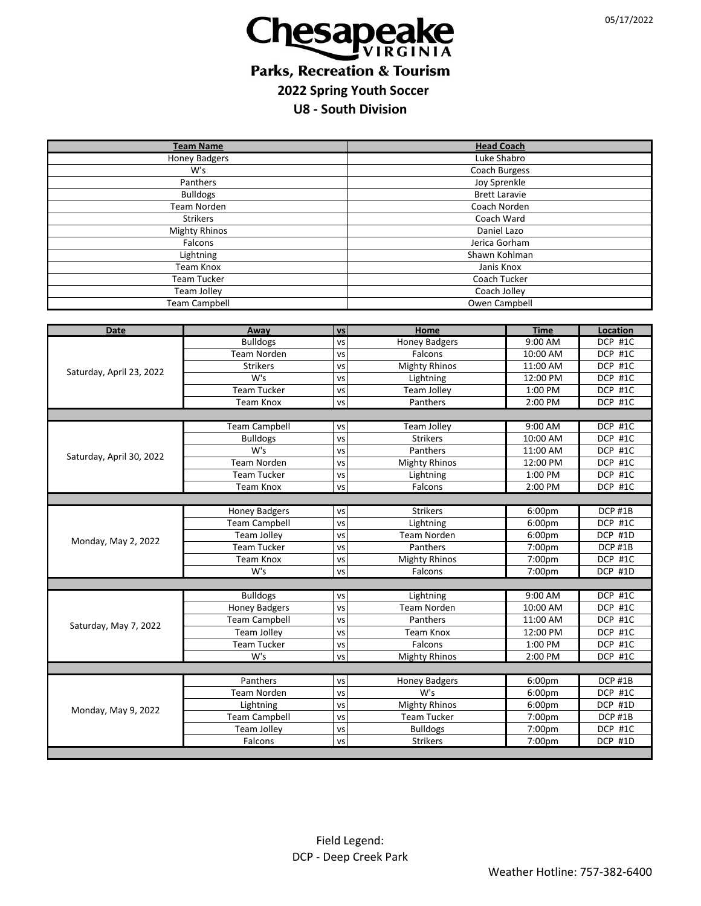

## **Parks, Recreation & Tourism 2022 Spring Youth Soccer**

**U8 - South Division**

| <b>Team Name</b>         |                                   |                 | <b>Head Coach</b>              |                  |                    |  |  |  |
|--------------------------|-----------------------------------|-----------------|--------------------------------|------------------|--------------------|--|--|--|
| <b>Honey Badgers</b>     |                                   |                 | Luke Shabro                    |                  |                    |  |  |  |
| W's                      |                                   |                 | Coach Burgess                  |                  |                    |  |  |  |
| Panthers                 |                                   |                 | Joy Sprenkle                   |                  |                    |  |  |  |
| <b>Bulldogs</b>          |                                   |                 | <b>Brett Laravie</b>           |                  |                    |  |  |  |
| <b>Team Norden</b>       |                                   |                 | Coach Norden                   |                  |                    |  |  |  |
| <b>Strikers</b>          |                                   |                 | Coach Ward                     |                  |                    |  |  |  |
| <b>Mighty Rhinos</b>     |                                   |                 | Daniel Lazo                    |                  |                    |  |  |  |
| Falcons                  |                                   |                 | Jerica Gorham                  |                  |                    |  |  |  |
| Lightning                |                                   |                 | Shawn Kohlman                  |                  |                    |  |  |  |
| <b>Team Knox</b>         |                                   |                 | Janis Knox                     |                  |                    |  |  |  |
| <b>Team Tucker</b>       |                                   |                 | Coach Tucker                   |                  |                    |  |  |  |
| Team Jolley              |                                   |                 | Coach Jolley                   |                  |                    |  |  |  |
| <b>Team Campbell</b>     |                                   |                 | Owen Campbell                  |                  |                    |  |  |  |
|                          |                                   |                 |                                |                  |                    |  |  |  |
| <b>Date</b>              | Away                              | <b>VS</b>       | Home                           | <b>Time</b>      | Location           |  |  |  |
|                          | <b>Bulldogs</b>                   | VS              | <b>Honey Badgers</b>           | 9:00 AM          | DCP #1C            |  |  |  |
| Saturday, April 23, 2022 | Team Norden                       | VS              | Falcons                        | 10:00 AM         | DCP #1C            |  |  |  |
|                          | <b>Strikers</b>                   | VS              | <b>Mighty Rhinos</b>           | 11:00 AM         | DCP #1C            |  |  |  |
|                          | W's                               | VS              | Lightning                      | 12:00 PM         | DCP #1C            |  |  |  |
|                          | <b>Team Tucker</b>                | VS              | Team Jolley                    | 1:00 PM          | DCP #1C            |  |  |  |
|                          | <b>Team Knox</b>                  | VS              | Panthers                       | 2:00 PM          | DCP #1C            |  |  |  |
|                          |                                   |                 |                                |                  |                    |  |  |  |
|                          | <b>Team Campbell</b>              | VS              | <b>Team Jolley</b>             | 9:00 AM          | DCP #1C            |  |  |  |
| Saturday, April 30, 2022 | <b>Bulldogs</b>                   | VS              | <b>Strikers</b>                | 10:00 AM         | DCP #1C            |  |  |  |
|                          | W's                               | <b>VS</b>       | Panthers                       | 11:00 AM         | DCP #1C            |  |  |  |
|                          | Team Norden                       | VS              | <b>Mighty Rhinos</b>           | 12:00 PM         | DCP #1C            |  |  |  |
|                          | <b>Team Tucker</b>                | VS              | Lightning                      | 1:00 PM          | DCP #1C            |  |  |  |
|                          | Team Knox                         | VS              | Falcons                        | 2:00 PM          | DCP #1C            |  |  |  |
|                          |                                   |                 |                                |                  |                    |  |  |  |
| Monday, May 2, 2022      | <b>Honey Badgers</b>              | <b>VS</b>       | Strikers                       | 6:00pm           | DCP #1B            |  |  |  |
|                          | <b>Team Campbell</b>              | VS              | Lightning                      | 6:00pm           | DCP #1C            |  |  |  |
|                          | Team Jolley<br><b>Team Tucker</b> | <b>VS</b>       | <b>Team Norden</b><br>Panthers | 6:00pm           | DCP #1D            |  |  |  |
|                          | Team Knox                         | <b>VS</b>       | <b>Mighty Rhinos</b>           | 7:00pm<br>7:00pm | DCP #1B<br>DCP #1C |  |  |  |
|                          | W's                               | <b>VS</b><br>VS | Falcons                        | 7:00pm           | DCP #1D            |  |  |  |
|                          |                                   |                 |                                |                  |                    |  |  |  |
|                          | <b>Bulldogs</b>                   | VS              | Lightning                      | 9:00 AM          | DCP #1C            |  |  |  |
|                          | <b>Honey Badgers</b>              | VS              | Team Norden                    | 10:00 AM         | DCP #1C            |  |  |  |
|                          | <b>Team Campbell</b>              | VS              | Panthers                       | 11:00 AM         | DCP #1C            |  |  |  |
| Saturday, May 7, 2022    | Team Jolley                       | VS              | Team Knox                      | 12:00 PM         | DCP #1C            |  |  |  |
|                          | <b>Team Tucker</b>                | VS              | Falcons                        | 1:00 PM          | DCP #1C            |  |  |  |
|                          | W's                               |                 | <b>Mighty Rhinos</b>           | 2:00 PM          | DCP #1C            |  |  |  |
|                          |                                   | VS              |                                |                  |                    |  |  |  |
| Monday, May 9, 2022      | Panthers                          | VS              | <b>Honey Badgers</b>           | 6:00pm           | DCP #1B            |  |  |  |
|                          | Team Norden                       | vs              | W's                            | 6:00pm           | DCP #1C            |  |  |  |
|                          | Lightning                         | VS              | <b>Mighty Rhinos</b>           | 6:00pm           | DCP #1D            |  |  |  |
|                          | <b>Team Campbell</b>              | VS              | Team Tucker                    | 7:00pm           | DCP #1B            |  |  |  |
|                          | Team Jolley                       | VS              | <b>Bulldogs</b>                | 7:00pm           | DCP #1C            |  |  |  |
|                          | Falcons                           | VS              | <b>Strikers</b>                | 7:00pm           | <b>DCP #1D</b>     |  |  |  |
|                          |                                   |                 |                                |                  |                    |  |  |  |